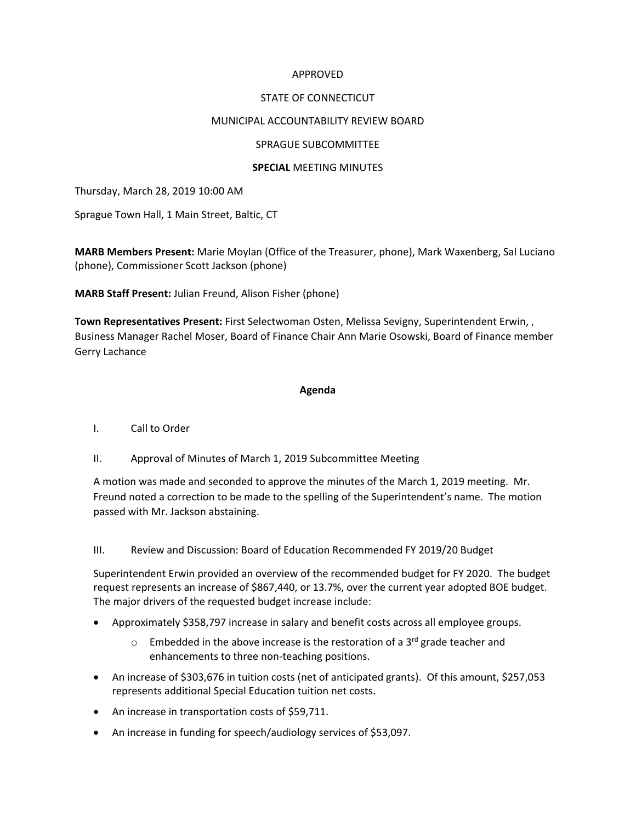## APPROVED

## STATE OF CONNECTICUT

## MUNICIPAL ACCOUNTABILITY REVIEW BOARD

## SPRAGUE SUBCOMMITTEE

## **SPECIAL** MEETING MINUTES

Thursday, March 28, 2019 10:00 AM

Sprague Town Hall, 1 Main Street, Baltic, CT

**MARB Members Present:** Marie Moylan (Office of the Treasurer, phone), Mark Waxenberg, Sal Luciano (phone), Commissioner Scott Jackson (phone)

**MARB Staff Present:** Julian Freund, Alison Fisher (phone)

**Town Representatives Present:** First Selectwoman Osten, Melissa Sevigny, Superintendent Erwin, , Business Manager Rachel Moser, Board of Finance Chair Ann Marie Osowski, Board of Finance member Gerry Lachance

#### **Agenda**

#### I. Call to Order

II. Approval of Minutes of March 1, 2019 Subcommittee Meeting

A motion was made and seconded to approve the minutes of the March 1, 2019 meeting. Mr. Freund noted a correction to be made to the spelling of the Superintendent's name. The motion passed with Mr. Jackson abstaining.

#### III. Review and Discussion: Board of Education Recommended FY 2019/20 Budget

Superintendent Erwin provided an overview of the recommended budget for FY 2020. The budget request represents an increase of \$867,440, or 13.7%, over the current year adopted BOE budget. The major drivers of the requested budget increase include:

- Approximately \$358,797 increase in salary and benefit costs across all employee groups.
	- $\circ$  Embedded in the above increase is the restoration of a 3<sup>rd</sup> grade teacher and enhancements to three non-teaching positions.
- An increase of \$303,676 in tuition costs (net of anticipated grants). Of this amount, \$257,053 represents additional Special Education tuition net costs.
- An increase in transportation costs of \$59,711.
- An increase in funding for speech/audiology services of \$53,097.